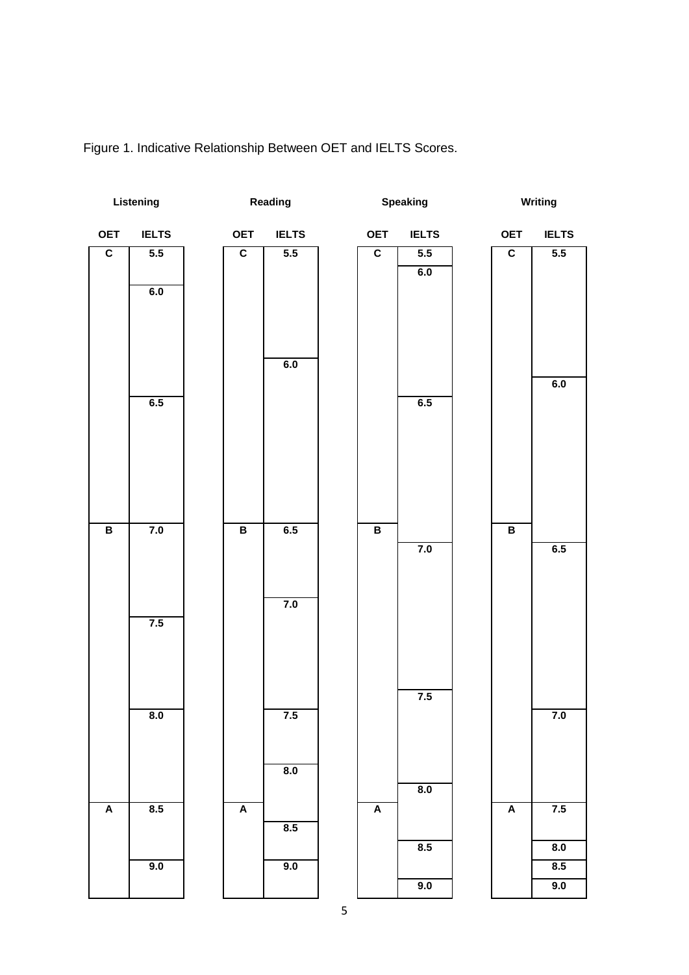

Figure 1. Indicative Relationship Between OET and IELTS Scores.